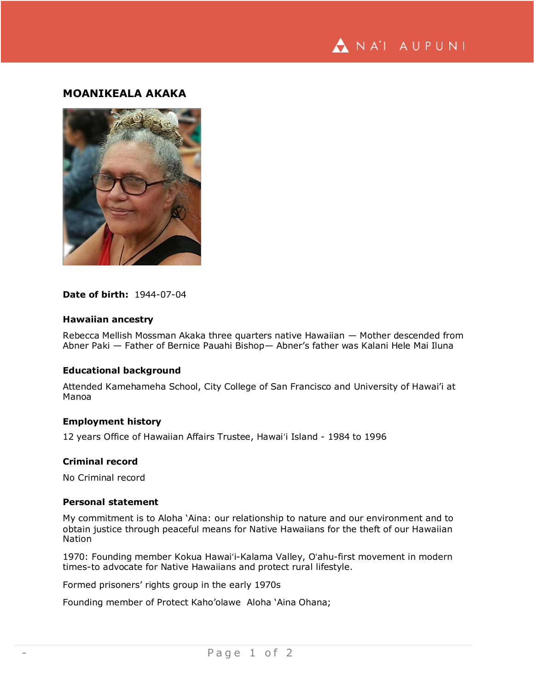

# **MOANIKEALA AKAKA**



#### **Date of birth:** 1944-07-04

## **Hawaiian ancestry**

Rebecca Mellish Mossman Akaka three quarters native Hawaiian — Mother descended from Abner Paki — Father of Bernice Pauahi Bishop— Abner's father was Kalani Hele Mai Iluna

#### **Educational background**

Attended Kamehameha School, City College of San Francisco and University of Hawai'i at Manoa

## **Employment history**

12 years Office of Hawaiian Affairs Trustee, Hawaiʻi Island - 1984 to 1996

## **Criminal record**

No Criminal record

## **Personal statement**

My commitment is to Aloha 'Aina: our relationship to nature and our environment and to obtain justice through peaceful means for Native Hawaiians for the theft of our Hawaiian **Nation** 

1970: Founding member Kokua Hawaiʻi-Kalama Valley, Oʻahu-first movement in modern times-to advocate for Native Hawaiians and protect rural lifestyle.

Formed prisoners' rights group in the early 1970s

Founding member of Protect Kaho'olawe Aloha 'Aina Ohana;